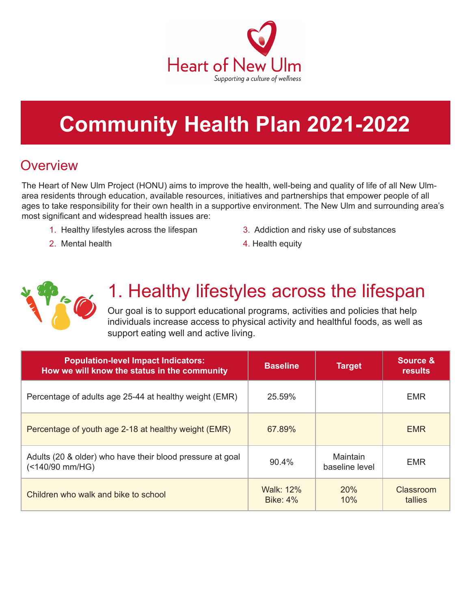

# **Community Health Plan 2021-2022**

#### **Overview**

The Heart of New Ulm Project (HONU) aims to improve the health, well-being and quality of life of all New Ulmarea residents through education, available resources, initiatives and partnerships that empower people of all ages to take responsibility for their own health in a supportive environment. The New Ulm and surrounding area's most significant and widespread health issues are:

- 
- 2. Mental health **4. Health equity**
- 1. Healthy lifestyles across the lifespan 3. Addiction and risky use of substances
	-



### 1. Healthy lifestyles across the lifespan

Our goal is to support educational programs, activities and policies that help individuals increase access to physical activity and healthful foods, as well as support eating well and active living.

| <b>Population-level Impact Indicators:</b><br>How we will know the status in the community | <b>Baseline</b>          | <b>Target</b>              | Source &<br>results         |
|--------------------------------------------------------------------------------------------|--------------------------|----------------------------|-----------------------------|
| Percentage of adults age 25-44 at healthy weight (EMR)                                     | 25.59%                   |                            | <b>EMR</b>                  |
| Percentage of youth age 2-18 at healthy weight (EMR)                                       | 67.89%                   |                            | <b>EMR</b>                  |
| Adults (20 & older) who have their blood pressure at goal<br>(<140/90 mm/HG)               | 90.4%                    | Maintain<br>baseline level | <b>EMR</b>                  |
| Children who walk and bike to school                                                       | Walk: 12%<br>Bike: $4\%$ | 20%<br>10%                 | Classroom<br><b>tallies</b> |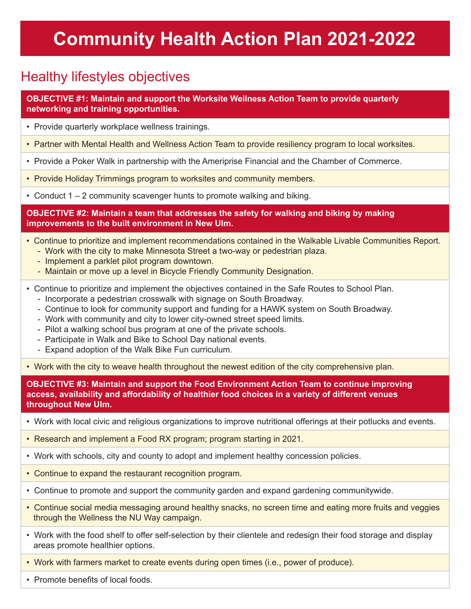### **Community Health Action Plan 2021-2022**

### Healthy lifestyles objectives

**OBJECTIVE #1: Maintain and support the Worksite Wellness Action Team to provide quarterly networking and training opportunities.**

- Provide quarterly workplace wellness trainings.
- Partner with Mental Health and Wellness Action Team to provide resiliency program to local worksites.
- Provide a Poker Walk in partnership with the Ameriprise Financial and the Chamber of Commerce.
- Provide Holiday Trimmings program to worksites and community members.
- Conduct 1 2 community scavenger hunts to promote walking and biking.

**OBJECTIVE #2: Maintain a team that addresses the safety for walking and biking by making improvements to the built environment in New Ulm.**

- Continue to prioritize and implement recommendations contained in the Walkable Livable Communities Report.
	- Work with the city to make Minnesota Street a two-way or pedestrian plaza.
	- Implement a parklet pilot program downtown.
	- Maintain or move up a level in Bicycle Friendly Community Designation.
- Continue to prioritize and implement the objectives contained in the Safe Routes to School Plan.
	- Incorporate a pedestrian crosswalk with signage on South Broadway.
	- Continue to look for community support and funding for a HAWK system on South Broadway.
	- Work with community and city to lower city-owned street speed limits.
	- Pilot a walking school bus program at one of the private schools.
	- Participate in Walk and Bike to School Day national events.
	- Expand adoption of the Walk Bike Fun curriculum.

• Work with the city to weave health throughout the newest edition of the city comprehensive plan.

**OBJECTIVE #3: Maintain and support the Food Environment Action Team to continue improving access, availability and affordability of healthier food choices in a variety of different venues throughout New Ulm.**

- Work with local civic and religious organizations to improve nutritional offerings at their potlucks and events.
- Research and implement a Food RX program; program starting in 2021.
- Work with schools, city and county to adopt and implement healthy concession policies.
- Continue to expand the restaurant recognition program.
- Continue to promote and support the community garden and expand gardening communitywide.
- Continue social media messaging around healthy snacks, no screen time and eating more fruits and veggies through the Wellness the NU Way campaign.
- Work with the food shelf to offer self-selection by their clientele and redesign their food storage and display areas promote healthier options.
- Work with farmers market to create events during open times (i.e., power of produce).
- Promote benefits of local foods.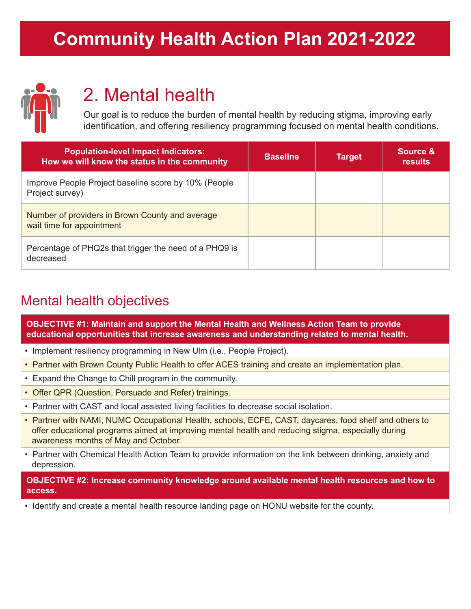### **Community Health Action Plan 2021-2022**



### 2. Mental health

Our goal is to reduce the burden of mental health by reducing stigma, improving early identification, and offering resiliency programming focused on mental health conditions.

| <b>Population-level Impact Indicators:</b><br>How we will know the status in the community | <b>Baseline</b> | <b>Target</b> | Source &<br>results |
|--------------------------------------------------------------------------------------------|-----------------|---------------|---------------------|
| Improve People Project baseline score by 10% (People<br>Project survey)                    |                 |               |                     |
| Number of providers in Brown County and average<br>wait time for appointment               |                 |               |                     |
| Percentage of PHQ2s that trigger the need of a PHQ9 is<br>decreased                        |                 |               |                     |

#### Mental health objectives

**OBJECTIVE #1: Maintain and support the Mental Health and Wellness Action Team to provide educational opportunities that increase awareness and understanding related to mental health.**

- Implement resiliency programming in New Ulm (i.e., People Project).
- Partner with Brown County Public Health to offer ACES training and create an implementation plan.
- Expand the Change to Chill program in the community.
- Offer QPR (Question, Persuade and Refer) trainings.
- Partner with CAST and local assisted living facilities to decrease social isolation.
- Partner with NAMI, NUMC Occupational Health, schools, ECFE, CAST, daycares, food shelf and others to offer educational programs aimed at improving mental health and reducing stigma, especially during awareness months of May and October.
- Partner with Chemical Health Action Team to provide information on the link between drinking, anxiety and depression.

**OBJECTIVE #2: Increase community knowledge around available mental health resources and how to access.**

• Identify and create a mental health resource landing page on HONU website for the county.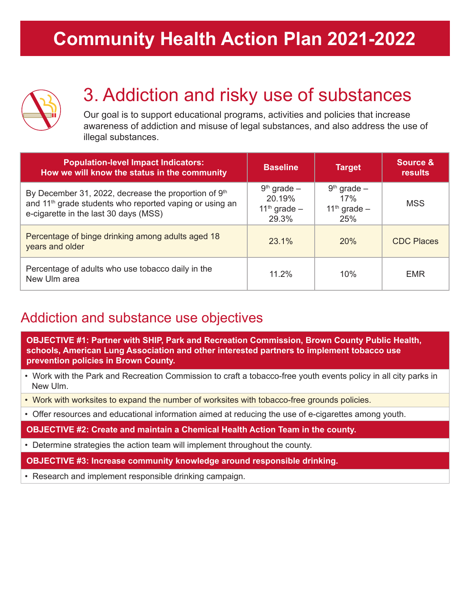### **Community Health Action Plan 2021-2022**



### 3. Addiction and risky use of substances

Our goal is to support educational programs, activities and policies that increase awareness of addiction and misuse of legal substances, and also address the use of illegal substances.

| <b>Population-level Impact Indicators:</b><br>How we will know the status in the community                                                                           | <b>Baseline</b>                                        | <b>Target</b>                                   | Source &<br>results |
|----------------------------------------------------------------------------------------------------------------------------------------------------------------------|--------------------------------------------------------|-------------------------------------------------|---------------------|
| By December 31, 2022, decrease the proportion of 9th<br>and 11 <sup>th</sup> grade students who reported vaping or using an<br>e-cigarette in the last 30 days (MSS) | $9th$ grade $-$<br>20.19%<br>$11th$ grade $-$<br>29.3% | $9th$ grade $-$<br>17%<br>$11th$ grade –<br>25% | <b>MSS</b>          |
| Percentage of binge drinking among adults aged 18<br>years and older                                                                                                 | $23.1\%$                                               | 20%                                             | <b>CDC Places</b>   |
| Percentage of adults who use tobacco daily in the<br>New Ulm area                                                                                                    | $11.2\%$                                               | 10%                                             | <b>EMR</b>          |

#### Addiction and substance use objectives

**OBJECTIVE #1: Partner with SHIP, Park and Recreation Commission, Brown County Public Health, schools, American Lung Association and other interested partners to implement tobacco use prevention policies in Brown County.**

- Work with the Park and Recreation Commission to craft a tobacco-free youth events policy in all city parks in New Ulm.
- Work with worksites to expand the number of worksites with tobacco-free grounds policies.
- Offer resources and educational information aimed at reducing the use of e-cigarettes among youth.

#### **OBJECTIVE #2: Create and maintain a Chemical Health Action Team in the county.**

• Determine strategies the action team will implement throughout the county.

**OBJECTIVE #3: Increase community knowledge around responsible drinking.**

• Research and implement responsible drinking campaign.